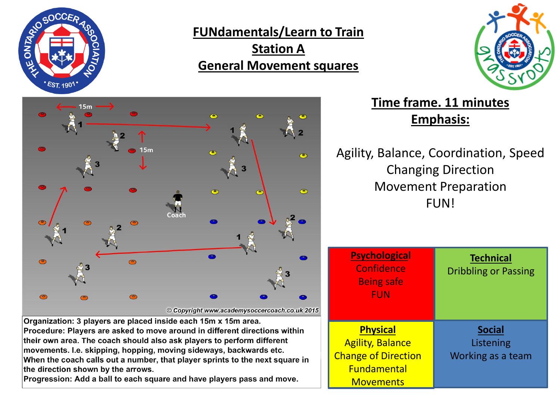

**FUNdamentals/Learn to Train Station A General Movement squares**





**Time frame. 11 minutes Emphasis:**

Agility, Balance, Coordination, Speed Changing Direction Movement Preparation FUN!

| <b>Psychological</b><br>Confidence<br><b>Being safe</b><br><b>FUN</b>                                              | <b>Technical</b><br><b>Dribbling or Passing</b> |
|--------------------------------------------------------------------------------------------------------------------|-------------------------------------------------|
| <b>Physical</b><br><b>Agility, Balance</b><br><b>Change of Direction</b><br><b>Fundamental</b><br><b>Movements</b> | <b>Social</b><br>Listening<br>Working as a team |

Organization: 3 players are placed inside each 15m x 15m area. Procedure: Players are asked to move around in different directions within their own area. The coach should also ask players to perform different movements. I.e. skipping, hopping, moving sideways, backwards etc. When the coach calls out a number, that player sprints to the next square in the direction shown by the arrows.

Progression: Add a ball to each square and have players pass and move.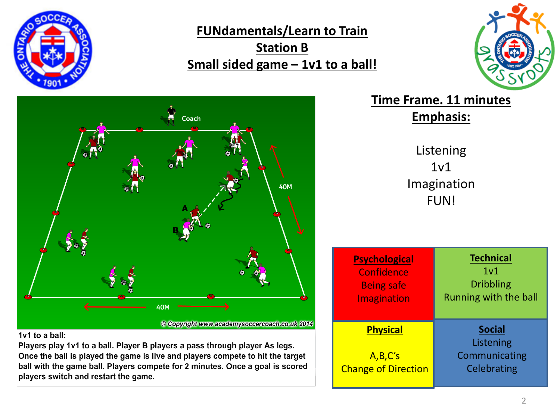

**FUNdamentals/Learn to Train Station B Small sided game – 1v1 to a ball!**





## **Time Frame. 11 minutes Emphasis:**

Listening  $1v1$ Imagination FUN!

| <b>Psychological</b>                                     | <b>Technical</b>                                           |
|----------------------------------------------------------|------------------------------------------------------------|
| Confidence                                               | 1 <sub>v1</sub>                                            |
| <b>Being safe</b>                                        | <b>Dribbling</b>                                           |
| <b>Imagination</b>                                       | Running with the ball                                      |
| <b>Physical</b><br>A,B,C's<br><b>Change of Direction</b> | <b>Social</b><br>Listening<br>Communicating<br>Celebrating |

1v1 to a ball:

Players play 1v1 to a ball. Player B players a pass through player As legs. Once the ball is played the game is live and players compete to hit the target ball with the game ball. Players compete for 2 minutes. Once a goal is scored players switch and restart the game.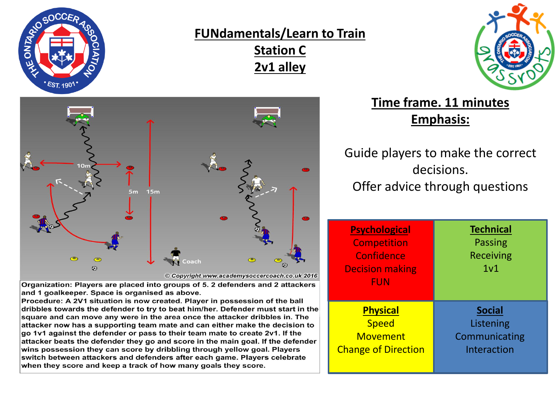

## **FUNdamentals/Learn to Train Station C 2v1 alley**





© Copyright www.academysoccercoach.co.uk 2016

Organization: Players are placed into groups of 5. 2 defenders and 2 attackers and 1 goalkeeper. Space is organised as above.

Procedure: A 2V1 situation is now created. Player in possession of the ball dribbles towards the defender to try to beat him/her. Defender must start in the square and can move any were in the area once the attacker dribbles in. The attacker now has a supporting team mate and can either make the decision to go 1v1 against the defender or pass to their team mate to create 2v1. If the attacker beats the defender they go and score in the main goal. If the defender wins possession they can score by dribbling through yellow goal. Players switch between attackers and defenders after each game. Players celebrate when they score and keep a track of how many goals they score.

## **Time frame. 11 minutes Emphasis:**

Guide players to make the correct decisions. Offer advice through questions

| <b>Psychological</b><br><b>Competition</b><br>Confidence<br><b>Decision making</b><br><b>FUN</b> | <b>Technical</b><br><b>Passing</b><br><b>Receiving</b><br>1 <sub>v1</sub> |
|--------------------------------------------------------------------------------------------------|---------------------------------------------------------------------------|
| <b>Physical</b>                                                                                  | <b>Social</b>                                                             |
| <b>Speed</b>                                                                                     | Listening                                                                 |
| <b>Movement</b>                                                                                  | Communicating                                                             |
| <b>Change of Direction</b>                                                                       | Interaction                                                               |